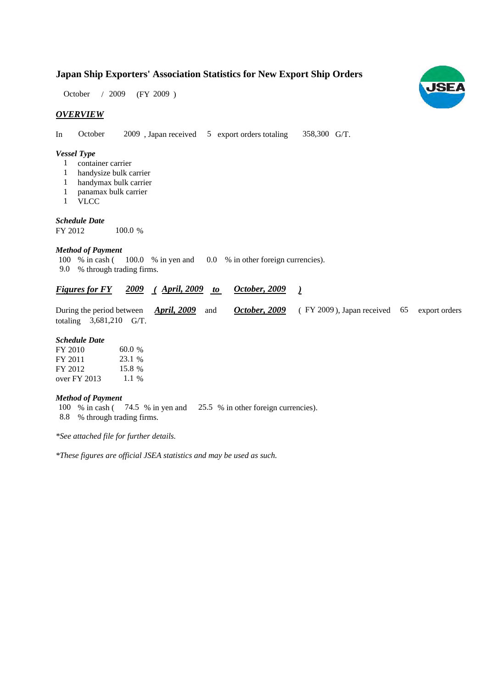### **Japan Ship Exporters' Association Statistics for New Export Ship Orders**

 $(FY 2009)$ October / 2009

#### *OVERVIEW*

In October 2009, Japan received 5 export orders totaling 358,300 G/T.

#### *Vessel Type*

- container carrier 1
- handysize bulk carrier 1
- handymax bulk carrier 1
- panamax bulk carrier 1
- VLCC 1

*Schedule Date*

FY 2012 100.0 %

#### *Method of Payment*

% in cash ( 100.0 % in yen and 0.0 % in other foreign currencies). % through trading firms. 9.0 100 % in cash (

#### *Figures for FY* 2009 (April, 2009 to October, 2009) *October, 2009*

During the period between *April, 2009* and *October, 2009* (FY 2009), Japan received 65 export orders totaling  $3,681,210$  G/T. *April, 2009* and *October, 2009* 

#### *Schedule Date*

| FY 2010        | 60.0%   |
|----------------|---------|
| FY 2011        | 23.1 %  |
| FY 2012        | 15.8 %  |
| over $FY$ 2013 | $1.1\%$ |

#### *Method of Payment*

100 % in cash (74.5 % in yen and 25.5 % in other foreign currencies). % through trading firms. 8.8

*\*See attached file for further details.*

*\*These figures are official JSEA statistics and may be used as such.*

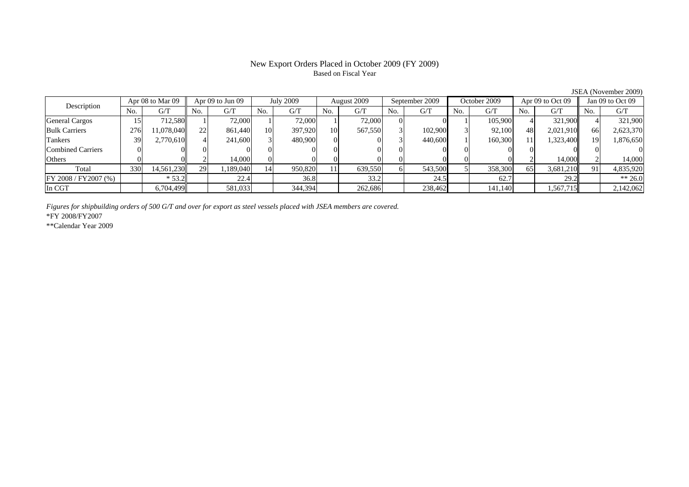### Based on Fiscal Year

No. G/T No. G/T No. G/T No. G/T No. G/T No. G/T No. G/T No. G/T $G/T$ General Cargos ( 15 712,580 1 72,000 1 72,000 1 72,000 0 0 1 105,900 4 321,900 4 321,900 Bulk Carriers | 276| 11,078,040|| 22| 861,440| 10| 397,920| 10| 567,550| 3| 102,900| 3| 92,100| 48| 2,021,910|| 66| 2,623,370 Tankers | 39 2,770,610 4 241,600 3 480,900 0 0 3 440,600 1 160,300 11 1,323,400 19 1,876,650 Combined Carriers 0 0 0 0 0 0 0 0 0 0 0 0 0 0 0 0Others | 0 | 0 || 2 | 14,000 || 0 | 0 | 0 | 0 | 0 | 0 | 2 | 14,000 | Total | 330| 14,561,230|| 29| 1,189,040| 14| 950,820| 11| 639,550| 6| 543,500| 5| 358,300| 65| 3,681,210|| 91| 4,835,920 FY 2008 / FY 2007 (%) \* 53.2 22.4 36.8 36.8 33.2 24.5 62.7 34.5 39.2 \*\* 26.0 In CGT | | 6,704,499 | | 581,033 | | 344,394 | | 262,686 | | 238,462 | | 141,140 | | 1,567,715 | | 2,142,062 Description Apr 08 to Mar 09 Apr 09 to Jun 09 July 2009 August 2009 September 2009 October 2009 Apr 09 to Oct 09 Jan 09 to Oct 09

*Figures for shipbuilding orders of 500 G/T and over for export as steel vessels placed with JSEA members are covered.*

\*FY 2008/FY2007

\*\*Calendar Year 2009

JSEA (November 2009)

# New Export Orders Placed in October 2009 (FY 2009)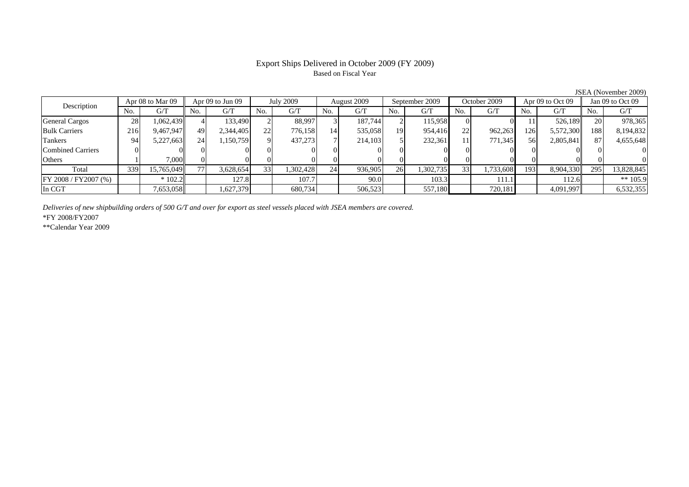### Based on Fiscal Year

No. G/T No. G/T No. G/T No. G/T No. G/T No. G/T No. G/T No. G/T $\mathrm{G}/\mathrm{T}$ General Cargos ( 28 1,062,439 4 133,490 2 88,997 3 187,744 2 115,958 0 0 11 526,189 20 978,365 Bulk Carriers 216 9,467,947 49 2,344,405 22 776,158 14 535,058 19 954,416 22 962,263 126 5,572,300 188 8,194,832 Tankers | 94| 5,227,663|| 24| 1,150,759| 9| 437,273| 7| 214,103| 5| 232,361| 11| 771,345| 56| 2,805,841|| 87| 4,655,648 Combined Carriers 0 0 0 0 0 0 0 0 0 0 0 0 0 0 0 0Others | 1 | 7,000 || 0 || 0 || 0 || 0 || 0 || 0 || 0 || 0 || 0 || 0 || 0 || 0 || 0 || 0 || 0 Total 339 15,765,049 77 3,628,654 33 1,302,428 24 936,905 26 1,302,735 33 1,733,608 193 8,904,330 295 13,828,845 |FY 2008 / FY2007 (%) | | \* 102.2 | | 127.8 | 107.7 | 90.0 | 103.3 | 111.1 | 112.6 | \*\* 105.9 In CGT | | 7,653,058|| | 1,627,379 | | 680,734 | | 506,523 | | 557,180 | | 720,181 | | 4,091,997 | | 6,532,355 August 2009 Description Apr 08 to Mar 09 || Apr 09 to Jun 09 || July 2009 || August 2009 || September 2009 || October 2009 || Apr 09 to Oct 09 || Jan 09 to Oct 09

*Deliveries of new shipbuilding orders of 500 G/T and over for export as steel vessels placed with JSEA members are covered.*

\*FY 2008/FY2007

\*\*Calendar Year 2009

JSEA (November 2009)

## Export Ships Delivered in October 2009 (FY 2009)